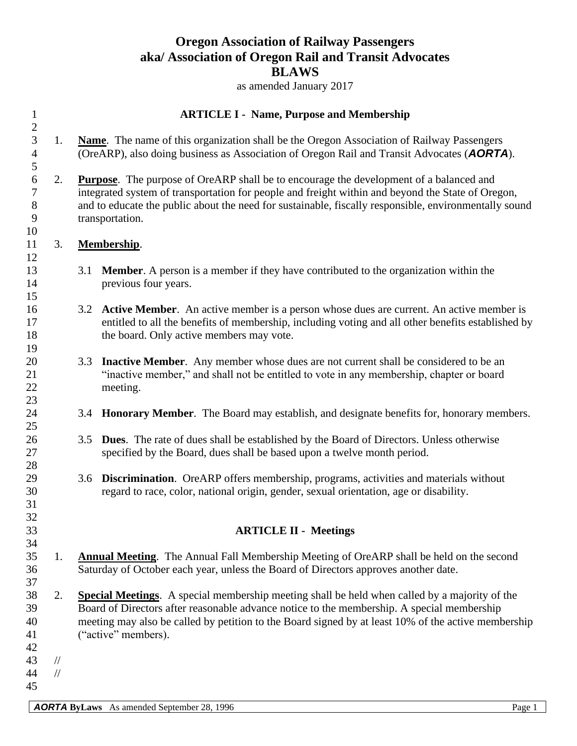## **Oregon Association of Railway Passengers aka/ Association of Oregon Rail and Transit Advocates BLAWS**

as amended January 2017

| $\mathbf{1}$                           |                                | <b>ARTICLE I - Name, Purpose and Membership</b>                                                                                                                                                                                                                                                                           |                                                                                                                                                                                                                                                                                                                         |  |  |  |
|----------------------------------------|--------------------------------|---------------------------------------------------------------------------------------------------------------------------------------------------------------------------------------------------------------------------------------------------------------------------------------------------------------------------|-------------------------------------------------------------------------------------------------------------------------------------------------------------------------------------------------------------------------------------------------------------------------------------------------------------------------|--|--|--|
| $\sqrt{2}$<br>3<br>$\overline{4}$<br>5 | 1.                             |                                                                                                                                                                                                                                                                                                                           | <b>Name.</b> The name of this organization shall be the Oregon Association of Railway Passengers<br>(OreARP), also doing business as Association of Oregon Rail and Transit Advocates (AORTA).                                                                                                                          |  |  |  |
| 6<br>$\tau$<br>8<br>9<br>10            | 2.                             |                                                                                                                                                                                                                                                                                                                           | Purpose. The purpose of OreARP shall be to encourage the development of a balanced and<br>integrated system of transportation for people and freight within and beyond the State of Oregon,<br>and to educate the public about the need for sustainable, fiscally responsible, environmentally sound<br>transportation. |  |  |  |
| 11<br>12                               | 3.                             |                                                                                                                                                                                                                                                                                                                           | <b>Membership.</b>                                                                                                                                                                                                                                                                                                      |  |  |  |
| 13<br>14<br>15                         |                                | 3.1                                                                                                                                                                                                                                                                                                                       | <b>Member.</b> A person is a member if they have contributed to the organization within the<br>previous four years.                                                                                                                                                                                                     |  |  |  |
| 16<br>17<br>18<br>19                   |                                |                                                                                                                                                                                                                                                                                                                           | 3.2 Active Member. An active member is a person whose dues are current. An active member is<br>entitled to all the benefits of membership, including voting and all other benefits established by<br>the board. Only active members may vote.                                                                           |  |  |  |
| 20<br>21<br>22<br>23                   |                                | 3.3                                                                                                                                                                                                                                                                                                                       | <b>Inactive Member.</b> Any member whose dues are not current shall be considered to be an<br>"inactive member," and shall not be entitled to vote in any membership, chapter or board<br>meeting.                                                                                                                      |  |  |  |
| 24<br>25                               |                                | 3.4                                                                                                                                                                                                                                                                                                                       | <b>Honorary Member.</b> The Board may establish, and designate benefits for, honorary members.                                                                                                                                                                                                                          |  |  |  |
| 26<br>27<br>28                         |                                | 3.5                                                                                                                                                                                                                                                                                                                       | <b>Dues.</b> The rate of dues shall be established by the Board of Directors. Unless otherwise<br>specified by the Board, dues shall be based upon a twelve month period.                                                                                                                                               |  |  |  |
| 29<br>30<br>31                         |                                | 3.6                                                                                                                                                                                                                                                                                                                       | Discrimination. OreARP offers membership, programs, activities and materials without<br>regard to race, color, national origin, gender, sexual orientation, age or disability.                                                                                                                                          |  |  |  |
| 32<br>33<br>34                         |                                |                                                                                                                                                                                                                                                                                                                           | <b>ARTICLE II - Meetings</b>                                                                                                                                                                                                                                                                                            |  |  |  |
| 35<br>36<br>37                         | 1.                             |                                                                                                                                                                                                                                                                                                                           | <b>Annual Meeting.</b> The Annual Fall Membership Meeting of OreARP shall be held on the second<br>Saturday of October each year, unless the Board of Directors approves another date.                                                                                                                                  |  |  |  |
| 38<br>39<br>40<br>41<br>42             | 2.                             | Special Meetings. A special membership meeting shall be held when called by a majority of the<br>Board of Directors after reasonable advance notice to the membership. A special membership<br>meeting may also be called by petition to the Board signed by at least 10% of the active membership<br>("active" members). |                                                                                                                                                                                                                                                                                                                         |  |  |  |
| 43<br>44<br>45                         | $\frac{1}{2}$<br>$\frac{1}{2}$ |                                                                                                                                                                                                                                                                                                                           |                                                                                                                                                                                                                                                                                                                         |  |  |  |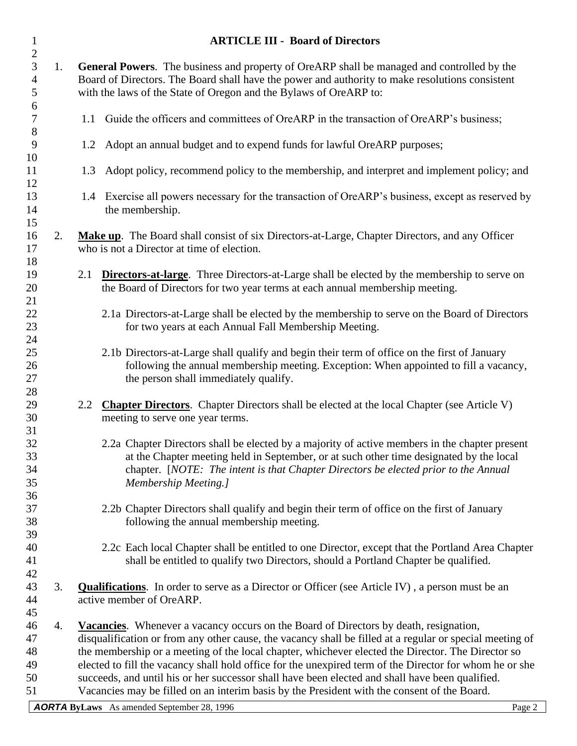| $\mathbf{1}$                                            |    | <b>ARTICLE III - Board of Directors</b>                                                                                                                                                                                                                                                                                                                                                                                                                                                                                                                                                                             |  |  |
|---------------------------------------------------------|----|---------------------------------------------------------------------------------------------------------------------------------------------------------------------------------------------------------------------------------------------------------------------------------------------------------------------------------------------------------------------------------------------------------------------------------------------------------------------------------------------------------------------------------------------------------------------------------------------------------------------|--|--|
| $\overline{c}$<br>$\overline{3}$<br>$\overline{4}$<br>5 | 1. | General Powers. The business and property of OreARP shall be managed and controlled by the<br>Board of Directors. The Board shall have the power and authority to make resolutions consistent<br>with the laws of the State of Oregon and the Bylaws of OreARP to:                                                                                                                                                                                                                                                                                                                                                  |  |  |
| 6<br>$\boldsymbol{7}$<br>$8\,$                          |    | 1.1 Guide the officers and committees of OreARP in the transaction of OreARP's business;                                                                                                                                                                                                                                                                                                                                                                                                                                                                                                                            |  |  |
| 9<br>10                                                 |    | Adopt an annual budget and to expend funds for lawful OreARP purposes;<br>1.2                                                                                                                                                                                                                                                                                                                                                                                                                                                                                                                                       |  |  |
| 11<br>12                                                |    | Adopt policy, recommend policy to the membership, and interpret and implement policy; and<br>1.3                                                                                                                                                                                                                                                                                                                                                                                                                                                                                                                    |  |  |
| 13<br>14                                                |    | 1.4 Exercise all powers necessary for the transaction of OreARP's business, except as reserved by<br>the membership.                                                                                                                                                                                                                                                                                                                                                                                                                                                                                                |  |  |
| 15<br>16<br>17<br>18                                    | 2. | Make up. The Board shall consist of six Directors-at-Large, Chapter Directors, and any Officer<br>who is not a Director at time of election.                                                                                                                                                                                                                                                                                                                                                                                                                                                                        |  |  |
| 19<br>20<br>21                                          |    | <b>Directors-at-large.</b> Three Directors-at-Large shall be elected by the membership to serve on<br>2.1<br>the Board of Directors for two year terms at each annual membership meeting.                                                                                                                                                                                                                                                                                                                                                                                                                           |  |  |
| 22<br>23<br>24                                          |    | 2.1a Directors-at-Large shall be elected by the membership to serve on the Board of Directors<br>for two years at each Annual Fall Membership Meeting.                                                                                                                                                                                                                                                                                                                                                                                                                                                              |  |  |
| 25<br>26<br>27<br>28                                    |    | 2.1b Directors-at-Large shall qualify and begin their term of office on the first of January<br>following the annual membership meeting. Exception: When appointed to fill a vacancy,<br>the person shall immediately qualify.                                                                                                                                                                                                                                                                                                                                                                                      |  |  |
| 29<br>30<br>31                                          |    | 2.2 Chapter Directors. Chapter Directors shall be elected at the local Chapter (see Article V)<br>meeting to serve one year terms.                                                                                                                                                                                                                                                                                                                                                                                                                                                                                  |  |  |
| 32<br>33<br>34<br>35                                    |    | 2.2a Chapter Directors shall be elected by a majority of active members in the chapter present<br>at the Chapter meeting held in September, or at such other time designated by the local<br>chapter. [NOTE: The intent is that Chapter Directors be elected prior to the Annual<br><b>Membership Meeting.]</b>                                                                                                                                                                                                                                                                                                     |  |  |
| 36<br>37<br>38                                          |    | 2.2b Chapter Directors shall qualify and begin their term of office on the first of January<br>following the annual membership meeting.                                                                                                                                                                                                                                                                                                                                                                                                                                                                             |  |  |
| 39<br>40<br>41<br>42                                    |    | 2.2c Each local Chapter shall be entitled to one Director, except that the Portland Area Chapter<br>shall be entitled to qualify two Directors, should a Portland Chapter be qualified.                                                                                                                                                                                                                                                                                                                                                                                                                             |  |  |
| 43<br>44<br>45                                          | 3. | <b>Qualifications.</b> In order to serve as a Director or Officer (see Article IV), a person must be an<br>active member of OreARP.                                                                                                                                                                                                                                                                                                                                                                                                                                                                                 |  |  |
| 46<br>47<br>48<br>49<br>50<br>51                        | 4. | Vacancies. Whenever a vacancy occurs on the Board of Directors by death, resignation,<br>disqualification or from any other cause, the vacancy shall be filled at a regular or special meeting of<br>the membership or a meeting of the local chapter, whichever elected the Director. The Director so<br>elected to fill the vacancy shall hold office for the unexpired term of the Director for whom he or she<br>succeeds, and until his or her successor shall have been elected and shall have been qualified.<br>Vacancies may be filled on an interim basis by the President with the consent of the Board. |  |  |
|                                                         |    | <b>AORTA ByLaws</b> As amended September 28, 1996<br>Page 2                                                                                                                                                                                                                                                                                                                                                                                                                                                                                                                                                         |  |  |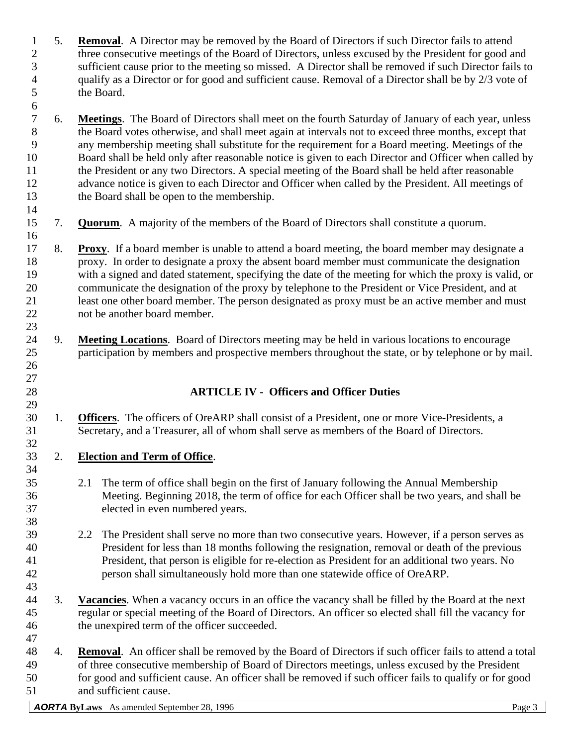- 5. **Removal**. A Director may be removed by the Board of Directors if such Director fails to attend three consecutive meetings of the Board of Directors, unless excused by the President for good and sufficient cause prior to the meeting so missed. A Director shall be removed if such Director fails to qualify as a Director or for good and sufficient cause. Removal of a Director shall be by 2/3 vote of the Board.
- 6. **Meetings**. The Board of Directors shall meet on the fourth Saturday of January of each year, unless the Board votes otherwise, and shall meet again at intervals not to exceed three months, except that any membership meeting shall substitute for the requirement for a Board meeting. Meetings of the Board shall be held only after reasonable notice is given to each Director and Officer when called by 11 the President or any two Directors. A special meeting of the Board shall be held after reasonable advance notice is given to each Director and Officer when called by the President. All meetings of the Board shall be open to the membership.
- 

 

- 7. **Quorum**. A majority of the members of the Board of Directors shall constitute a quorum.
- 8. **Proxy**. If a board member is unable to attend a board meeting, the board member may designate a proxy. In order to designate a proxy the absent board member must communicate the designation with a signed and dated statement, specifying the date of the meeting for which the proxy is valid, or communicate the designation of the proxy by telephone to the President or Vice President, and at least one other board member. The person designated as proxy must be an active member and must not be another board member.
- 9. **Meeting Locations**. Board of Directors meeting may be held in various locations to encourage participation by members and prospective members throughout the state, or by telephone or by mail.

## **ARTICLE IV - Officers and Officer Duties**

 1. **Officers**. The officers of OreARP shall consist of a President, one or more Vice-Presidents, a Secretary, and a Treasurer, all of whom shall serve as members of the Board of Directors.

## 2. **Election and Term of Office**.

- 2.1 The term of office shall begin on the first of January following the Annual Membership Meeting. Beginning 2018, the term of office for each Officer shall be two years, and shall be elected in even numbered years.
- 2.2 The President shall serve no more than two consecutive years. However, if a person serves as President for less than 18 months following the resignation, removal or death of the previous President, that person is eligible for re-election as President for an additional two years. No person shall simultaneously hold more than one statewide office of OreARP.
- 3. **Vacancies**. When a vacancy occurs in an office the vacancy shall be filled by the Board at the next regular or special meeting of the Board of Directors. An officer so elected shall fill the vacancy for the unexpired term of the officer succeeded.
- 4. **Removal**. An officer shall be removed by the Board of Directors if such officer fails to attend a total of three consecutive membership of Board of Directors meetings, unless excused by the President for good and sufficient cause. An officer shall be removed if such officer fails to qualify or for good and sufficient cause.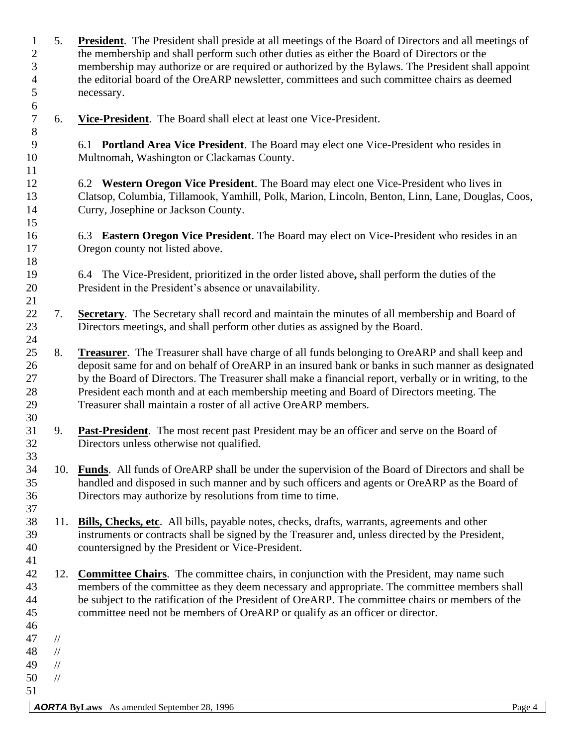*AORTA* **ByLaws** As amended September 28, 1996 5. **President**. The President shall preside at all meetings of the Board of Directors and all meetings of the membership and shall perform such other duties as either the Board of Directors or the membership may authorize or are required or authorized by the Bylaws. The President shall appoint the editorial board of the OreARP newsletter, committees and such committee chairs as deemed necessary. 6. **Vice-President**. The Board shall elect at least one Vice-President. 6.1 **Portland Area Vice President**. The Board may elect one Vice-President who resides in Multnomah, Washington or Clackamas County. 6.2 **Western Oregon Vice President**. The Board may elect one Vice-President who lives in Clatsop, Columbia, Tillamook, Yamhill, Polk, Marion, Lincoln, Benton, Linn, Lane, Douglas, Coos, Curry, Josephine or Jackson County. 6.3 **Eastern Oregon Vice President**. The Board may elect on Vice-President who resides in an Oregon county not listed above. 6.4 The Vice-President, prioritized in the order listed above**,** shall perform the duties of the President in the President's absence or unavailability. 7. **Secretary**. The Secretary shall record and maintain the minutes of all membership and Board of Directors meetings, and shall perform other duties as assigned by the Board. 8. **Treasurer**. The Treasurer shall have charge of all funds belonging to OreARP and shall keep and deposit same for and on behalf of OreARP in an insured bank or banks in such manner as designated by the Board of Directors. The Treasurer shall make a financial report, verbally or in writing, to the President each month and at each membership meeting and Board of Directors meeting. The Treasurer shall maintain a roster of all active OreARP members. 9. **Past-President**. The most recent past President may be an officer and serve on the Board of Directors unless otherwise not qualified. 10. **Funds**. All funds of OreARP shall be under the supervision of the Board of Directors and shall be handled and disposed in such manner and by such officers and agents or OreARP as the Board of Directors may authorize by resolutions from time to time. 11. **Bills, Checks, etc**. All bills, payable notes, checks, drafts, warrants, agreements and other instruments or contracts shall be signed by the Treasurer and, unless directed by the President, countersigned by the President or Vice-President. 12. **Committee Chairs**. The committee chairs, in conjunction with the President, may name such members of the committee as they deem necessary and appropriate. The committee members shall be subject to the ratification of the President of OreARP. The committee chairs or members of the committee need not be members of OreARP or qualify as an officer or director. // // // //